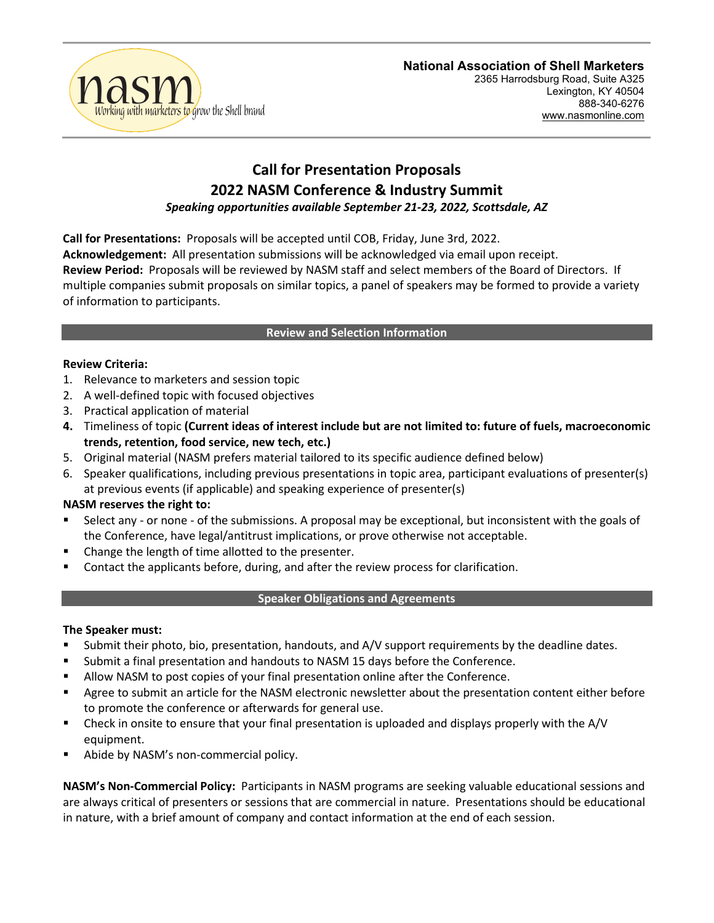

# **National Association of Shell Marketers**

2365 Harrodsburg Road, Suite A325 Lexington, KY 40504 888-340-6276 www.nasmonline.com

## **Call for Presentation Proposals 2022 NASM Conference & Industry Summit** *Speaking opportunities available September 21-23, 2022, Scottsdale, AZ*

**Call for Presentations:** Proposals will be accepted until COB, Friday, June 3rd, 2022. **Acknowledgement:** All presentation submissions will be acknowledged via email upon receipt. **Review Period:** Proposals will be reviewed by NASM staff and select members of the Board of Directors. If multiple companies submit proposals on similar topics, a panel of speakers may be formed to provide a variety of information to participants.

### **Review and Selection Information**

#### **Review Criteria:**

- 1. Relevance to marketers and session topic
- 2. A well-defined topic with focused objectives
- 3. Practical application of material
- **4.** Timeliness of topic **(Current ideas of interest include but are not limited to: future of fuels, macroeconomic trends, retention, food service, new tech, etc.)**
- 5. Original material (NASM prefers material tailored to its specific audience defined below)
- 6. Speaker qualifications, including previous presentations in topic area, participant evaluations of presenter(s) at previous events (if applicable) and speaking experience of presenter(s)

#### **NASM reserves the right to:**

- Select any or none of the submissions. A proposal may be exceptional, but inconsistent with the goals of the Conference, have legal/antitrust implications, or prove otherwise not acceptable.
- Change the length of time allotted to the presenter.
- Contact the applicants before, during, and after the review process for clarification.

#### **Speaker Obligations and Agreements**

#### **The Speaker must:**

- Submit their photo, bio, presentation, handouts, and A/V support requirements by the deadline dates.
- Submit a final presentation and handouts to NASM 15 days before the Conference.
- Allow NASM to post copies of your final presentation online after the Conference.
- Agree to submit an article for the NASM electronic newsletter about the presentation content either before to promote the conference or afterwards for general use.
- Check in onsite to ensure that your final presentation is uploaded and displays properly with the A/V equipment.
- Abide by NASM's non-commercial policy.

**NASM's Non-Commercial Policy:** Participants in NASM programs are seeking valuable educational sessions and are always critical of presenters or sessions that are commercial in nature. Presentations should be educational in nature, with a brief amount of company and contact information at the end of each session.